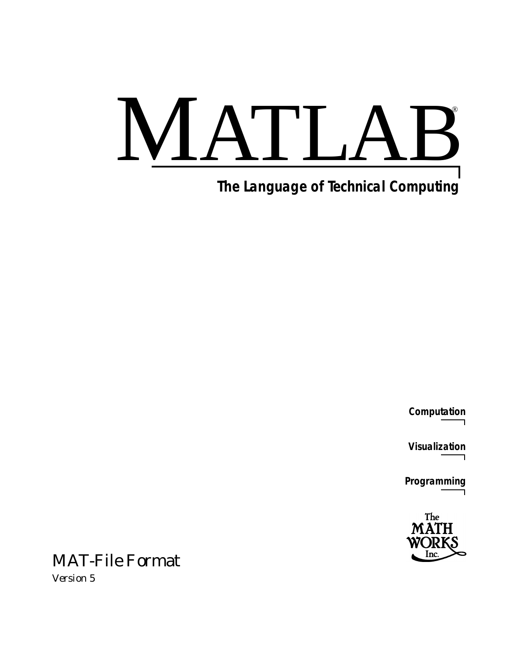# MATLAB

# **The Language of Technical Computing**

**Computation**

**Visualization**

**Programming**



# MAT-File Format

*Version 5*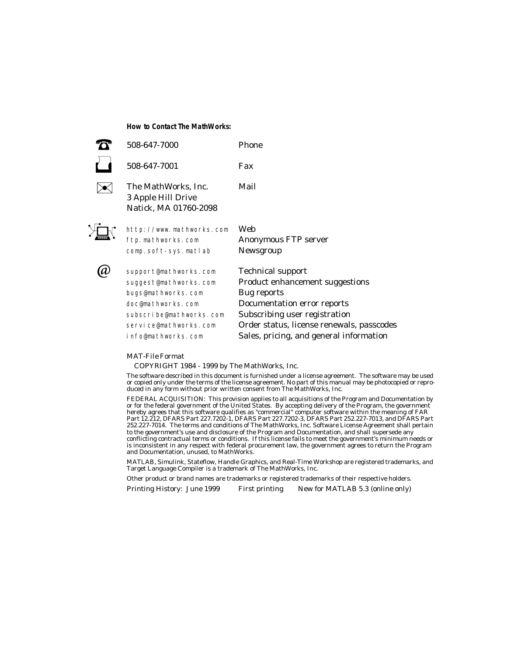**How to Contact The MathWorks:**

| 508-647-7000                                                                                                                                                        | Phone                                                                                                                                                                                                                              |
|---------------------------------------------------------------------------------------------------------------------------------------------------------------------|------------------------------------------------------------------------------------------------------------------------------------------------------------------------------------------------------------------------------------|
| 508-647-7001                                                                                                                                                        | Fax                                                                                                                                                                                                                                |
| The MathWorks, Inc.<br>3 Apple Hill Drive<br>Natick, MA 01760-2098                                                                                                  | Mail                                                                                                                                                                                                                               |
| http://www.mathworks.com<br>ftp.mathworks.com<br>comp. soft-sys. matlab                                                                                             | Web<br><b>Anonymous FTP server</b><br>Newsgroup                                                                                                                                                                                    |
| support@mathworks.com<br>suggest@mathworks.com<br>bugs@mathworks.com<br>doc@mathworks.com<br>subscribe@mathworks.com<br>service@mathworks.com<br>info@mathworks.com | <b>Technical support</b><br>Product enhancement suggestions<br>Bug reports<br>Documentation error reports<br>Subscribing user registration<br>Order status, license renewals, passcodes<br>Sales, pricing, and general information |

#### *MAT-File Format*

COPYRIGHT 1984 - 1999 by The MathWorks, Inc.

The software described in this document is furnished under a license agreement. The software may be used or copied only under the terms of the license agreement. No part of this manual may be photocopied or reproduced in any form without prior written consent from The MathWorks, Inc*.*

FEDERAL ACQUISITION: This provision applies to all acquisitions of the Program and Documentation by or for the federal government of the United States. By accepting delivery of the Program, the government hereby agrees that this software qualifies as "commercial" computer software within the meaning of FAR Part 12.212, DFARS Part 227.7202-1, DFARS Part 227.7202-3, DFARS Part 252.227-7013, and DFARS Part 252.227-7014. The terms and conditions of The MathWorks, Inc. Software License Agreement shall pertain to the government's use and disclosure of the Program and Documentation, and shall supersede any conflicting contractual terms or conditions. If this license fails to meet the government's minimum needs or is inconsistent in any respect with federal procurement law, the government agrees to return the Program and Documentation, unused, to MathWorks.

MATLAB, Simulink, Stateflow, Handle Graphics, and Real-Time Workshop are registered trademarks, and Target Language Compiler is a trademark of The MathWorks, Inc.

Other product or brand names are trademarks or registered trademarks of their respective holders.

Printing History: June 1999 First printing New for MATLAB 5.3 (online only)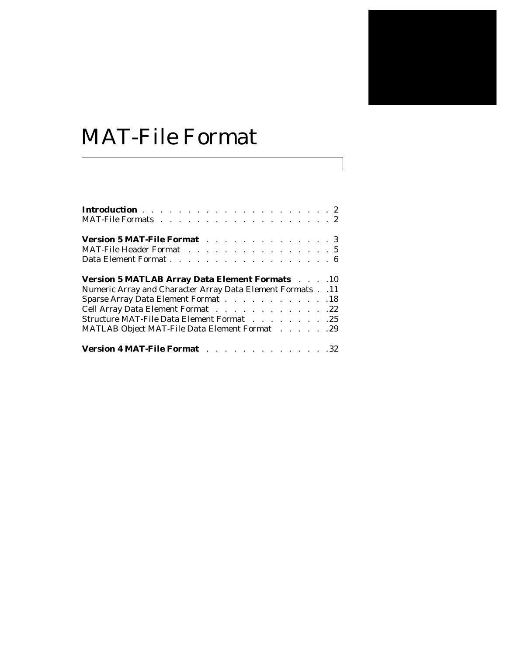# MAT-File Format

| Version 5 MAT-File Format 3                                                                |  |  |  |  |  |  |  |  |  |
|--------------------------------------------------------------------------------------------|--|--|--|--|--|--|--|--|--|
| MAT-File Header Format 5                                                                   |  |  |  |  |  |  |  |  |  |
| Data Element Format 6                                                                      |  |  |  |  |  |  |  |  |  |
|                                                                                            |  |  |  |  |  |  |  |  |  |
| <b>Version 5 MATLAB Array Data Element Formats Action</b> 10                               |  |  |  |  |  |  |  |  |  |
| Numeric Array and Character Array Data Element Formats 11                                  |  |  |  |  |  |  |  |  |  |
| Sparse Array Data Element Format 18                                                        |  |  |  |  |  |  |  |  |  |
|                                                                                            |  |  |  |  |  |  |  |  |  |
| Cell Array Data Element Format 22                                                          |  |  |  |  |  |  |  |  |  |
| Structure MAT-File Data Element Format 25<br>MATLAB Object MAT-File Data Element Format 29 |  |  |  |  |  |  |  |  |  |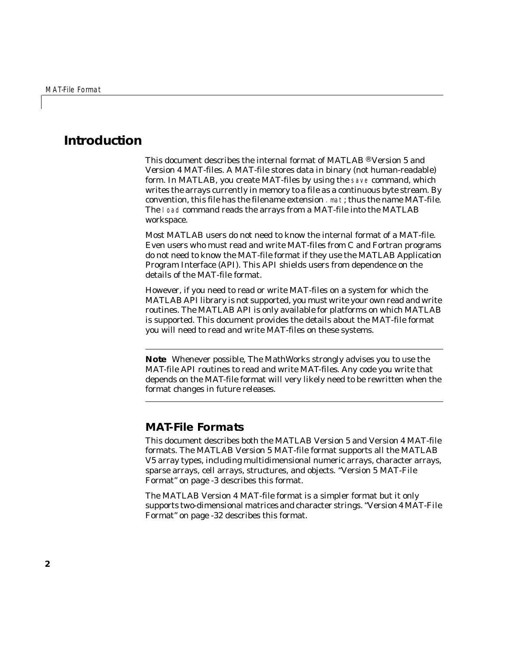# **Introduction**

This document describes the internal format of MATLAB  $\Phi$  Version 5 and Version 4 MAT-files. A MAT-file stores data in binary (not human-readable) form. In MATLAB, you create MAT-files by using the save command, which writes the arrays currently in memory to a file as a continuous byte stream. By convention, this file has the filename extension .mat; thus the name MAT-file. The load command reads the arrays from a MAT-file into the MATLAB workspace.

Most MATLAB users do not need to know the internal format of a MAT-file. Even users who must read and write MAT-files from C and Fortran programs do not need to know the MAT-file format if they use the MATLAB Application Program Interface (API). This API shields users from dependence on the details of the MAT-file format.

However, if you need to read or write MAT-files on a system for which the MATLAB API library is not supported, you must write your own read and write routines. The MATLAB API is only available for platforms on which MATLAB is supported. This document provides the details about the MAT-file format you will need to read and write MAT-files on these systems.

**Note** Whenever possible, The MathWorks strongly advises you to use the MAT-file API routines to read and write MAT-files. Any code you write that depends on the MAT-file format will very likely need to be rewritten when the format changes in future releases.

# <span id="page-3-0"></span>**MAT-File Formats**

This document describes both the MATLAB Version 5 and Version 4 MAT-file formats. The MATLAB Version 5 MAT-file format supports all the MATLAB V5 array types, including multidimensional numeric arrays, character arrays, sparse arrays, cell arrays, structures, and objects. ["Version 5 MAT-File](#page-4-0)  [Format" on page -3](#page-4-0) describes this format.

The MATLAB Version 4 MAT-file format is a simpler format but it only supports two-dimensional matrices and character strings. ["Version 4 MAT-File](#page-33-0)  [Format" on page -32](#page-33-0) describes this format.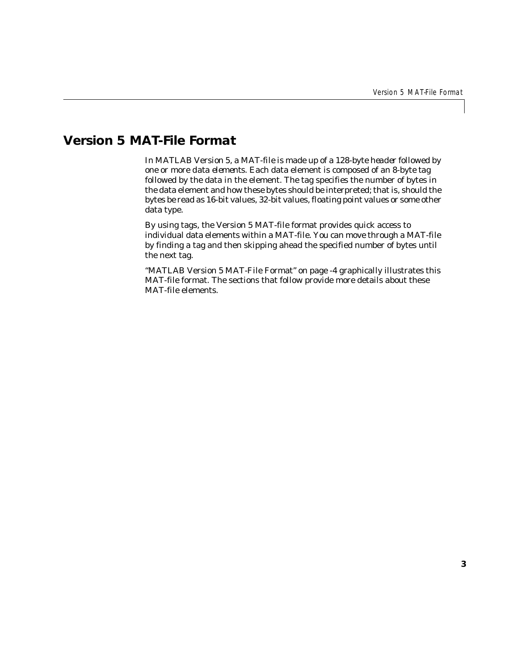# <span id="page-4-0"></span>**Version 5 MAT-File Format**

<span id="page-4-2"></span><span id="page-4-1"></span>In MATLAB Version 5, a MAT-file is made up of a 128-byte *header* followed by one or more *data elements*. Each data element is composed of an 8-byte *tag* followed by the data in the element. The tag specifies the number of bytes in the data element and how these bytes should be interpreted; that is, should the bytes be read as 16-bit values, 32-bit values, floating point values or some other data type.

By using tags, the Version 5 MAT-file format provides quick access to individual data elements within a MAT-file. You can move through a MAT-file by finding a tag and then skipping ahead the specified number of bytes until the next tag.

["MATLAB Version 5 MAT-File Format" on page -4](#page-5-0) graphically illustrates this MAT-file format. The sections that follow provide more details about these MAT-file elements.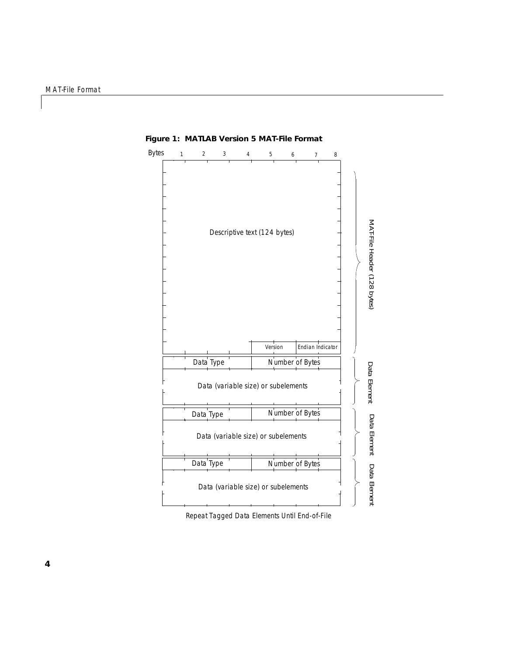

<span id="page-5-0"></span>**Figure 1: MATLAB Version 5 MAT-File Format**

Repeat Tagged Data Elements Until End-of-File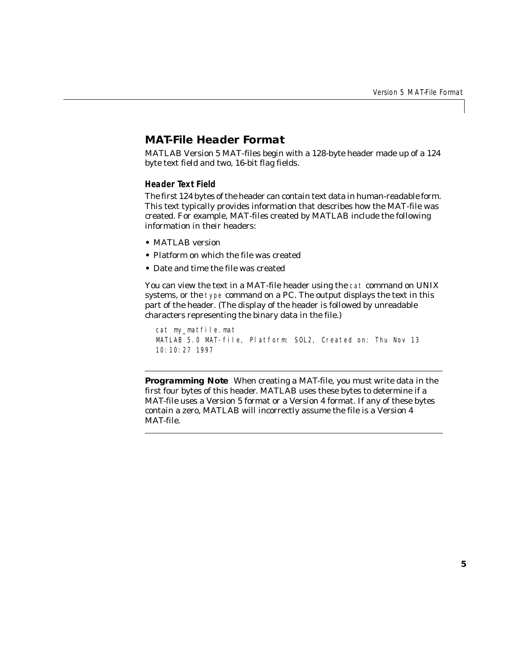# <span id="page-6-0"></span>**MAT-File Header Format**

<span id="page-6-1"></span>MATLAB Version 5 MAT-files begin with a 128-byte header made up of a 124 byte text field and two, 16-bit flag fields.

#### <span id="page-6-2"></span>**Header Text Field**

The first 124 bytes of the header can contain text data in human-readable form. This text typically provides information that describes how the MAT-file was created. For example, MAT-files created by MATLAB include the following information in their headers:

- **•** MATLAB version
- **•** Platform on which the file was created
- **•** Date and time the file was created

You can view the text in a MAT-file header using the cat command on UNIX systems, or the type command on a PC. The output displays the text in this part of the header. (The display of the header is followed by unreadable characters representing the binary data in the file.)

```
cat my_matfile.mat
MATLAB 5.0 MAT-file, Platform: SOL2, Created on: Thu Nov 13 
10:10:27 1997
```
**Programming Note** When creating a MAT-file, you *must* write data in the first four bytes of this header. MATLAB uses these bytes to determine if a MAT-file uses a Version 5 format or a Version 4 format. If any of these bytes contain a zero, MATLAB will incorrectly assume the file is a Version 4 MAT-file.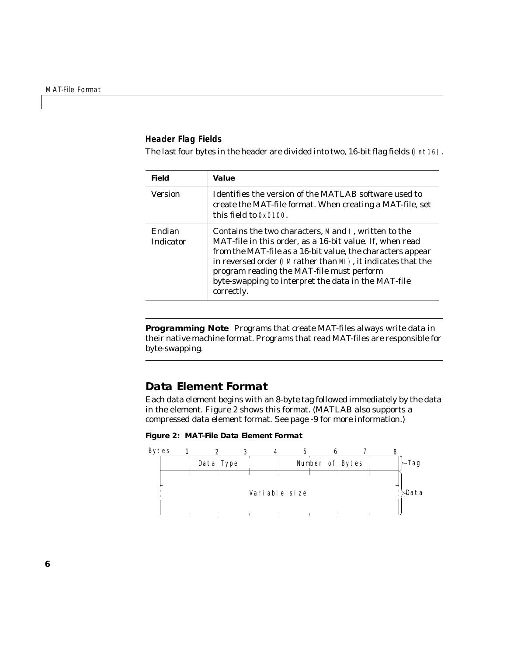#### <span id="page-7-5"></span>**Header Flag Fields**

The last four bytes in the header are divided into two, 16-bit flag fields (int16).

<span id="page-7-4"></span>

| <b>Field</b>        | Value                                                                                                                                                                                                                                                                                                                                                            |
|---------------------|------------------------------------------------------------------------------------------------------------------------------------------------------------------------------------------------------------------------------------------------------------------------------------------------------------------------------------------------------------------|
| <b>Version</b>      | Identifies the version of the MATLAB software used to<br>create the MAT-file format. When creating a MAT-file, set<br>this field to $0x0100$ .                                                                                                                                                                                                                   |
| Endian<br>Indicator | Contains the two characters, M and I, written to the<br>MAT-file in this order, as a 16-bit value. If, when read<br>from the MAT-file as a 16-bit value, the characters appear<br>in reversed order (I Mrather than MI), it indicates that the<br>program reading the MAT-file must perform<br>byte-swapping to interpret the data in the MAT-file<br>correctly. |

<span id="page-7-2"></span>**Programming Note** Programs that create MAT-files always write data in their native machine format. Programs that read MAT-files are responsible for byte-swapping.

# <span id="page-7-3"></span><span id="page-7-0"></span>**Data Element Format**

Each data element begins with an 8-byte tag followed immediately by the data in the element. [Figure 2](#page-7-1) shows this format. (MATLAB also supports a compressed data element format. See [page -9](#page-10-0) for more information.)

#### <span id="page-7-1"></span>**Figure 2: MAT-File Data Element Format**



**6**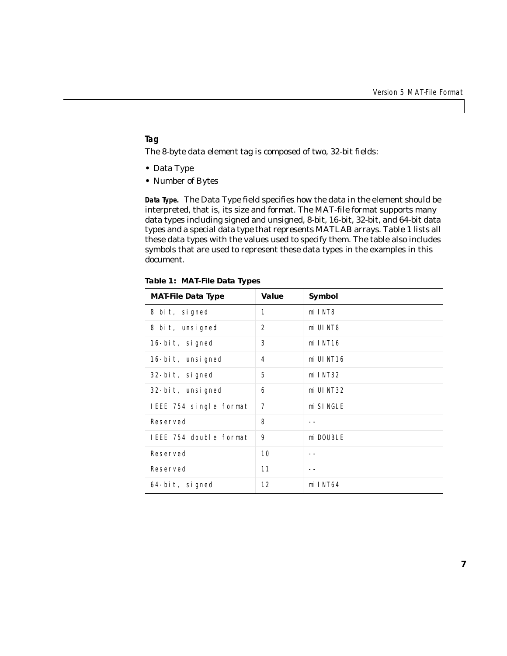#### <span id="page-8-3"></span>**Tag**

The 8-byte data element tag is composed of two, 32-bit fields:

- **•** Data Type
- <span id="page-8-1"></span>**•** Number of Bytes

**Data Type.** The Data Type field specifies how the data in the element should be interpreted, that is, its size and format. The MAT-file format supports many data types including signed and unsigned, 8-bit, 16-bit, 32-bit, and 64-bit data types and a special data type that represents MATLAB arrays. [Table 1](#page-8-0) lists all these data types with the values used to specify them. The table also includes symbols that are used to represent these data types in the examples in this document.

<span id="page-8-0"></span>

|                           | Table 1: MAT-File Data Types |              |  |  |  |  |  |
|---------------------------|------------------------------|--------------|--|--|--|--|--|
| <b>MAT-File Data Type</b> | Value                        | Symbol       |  |  |  |  |  |
| 8 bit, signed             | 1                            | mi INT8      |  |  |  |  |  |
| 8 bit, unsigned           | 2                            | mi UI NT8    |  |  |  |  |  |
| 16-bit, signed            | 3                            | $mi$ INT16   |  |  |  |  |  |
| 16-bit, unsigned          | 4                            | $mi$ UI NT16 |  |  |  |  |  |
| $32$ -bit, signed         | 5                            | $mi$ I NT32  |  |  |  |  |  |
| 32-bit, unsigned          | 6                            | mi UI NT32   |  |  |  |  |  |
| IEEE 754 single format    | 7                            | mi SI NGLE   |  |  |  |  |  |
| Reserved                  | 8                            |              |  |  |  |  |  |
| IEEE 754 double format    | 9                            | mi DOUBLE    |  |  |  |  |  |
| Reserved                  | 10                           |              |  |  |  |  |  |

<span id="page-8-2"></span>Reserved 11 --

64-bit, signed 12 miINT64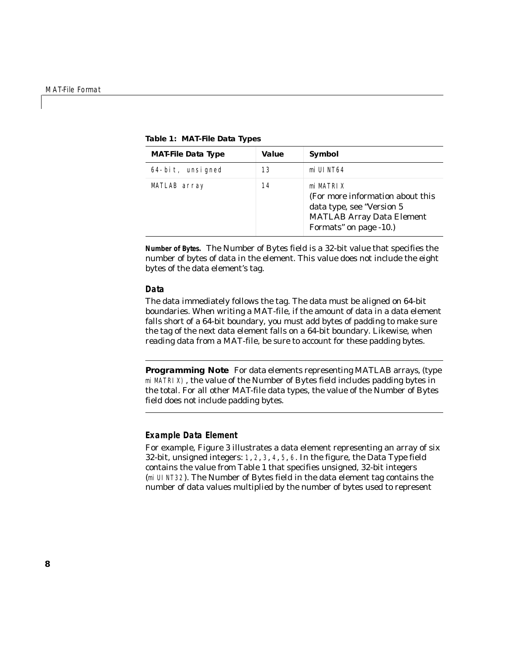| <b>MAT-File Data Type</b> | Value | Symbol                                                                                                                                    |
|---------------------------|-------|-------------------------------------------------------------------------------------------------------------------------------------------|
| 64-bit, unsigned          | 13    | mi UI NT64                                                                                                                                |
| MATLAB array              | 14    | mi MATRI X<br>(For more information about this<br>data type, see "Version 5<br><b>MATLAB Array Data Element</b><br>Formats" on page -10.) |

**Table 1: MAT-File Data Types**

<span id="page-9-1"></span>**Number of Bytes.** The Number of Bytes field is a 32-bit value that specifies the number of bytes of data in the element. This value does not include the eight bytes of the data element's tag.

#### **Data**

<span id="page-9-0"></span>The data immediately follows the tag. The data must be aligned on 64-bit boundaries. When writing a MAT-file, if the amount of data in a data element falls short of a 64-bit boundary, you must add bytes of padding to make sure the tag of the next data element falls on a 64-bit boundary. Likewise, when reading data from a MAT-file, be sure to account for these padding bytes.

<span id="page-9-2"></span>**Programming Note** For data elements representing MATLAB arrays, (type miMATRIX), the value of the Number of Bytes field includes padding bytes in the total. For all other MAT-file data types, the value of the Number of Bytes field does *not* include padding bytes.

#### **Example Data Element**

For example, [Figure 3](#page-10-1) illustrates a data element representing an array of six 32-bit, unsigned integers: 1, 2, 3, 4, 5, 6. In the figure, the Data Type field contains the value from [Table 1](#page-8-0) that specifies unsigned, 32-bit integers (miUINT32). The Number of Bytes field in the data element tag contains the number of data values multiplied by the number of bytes used to represent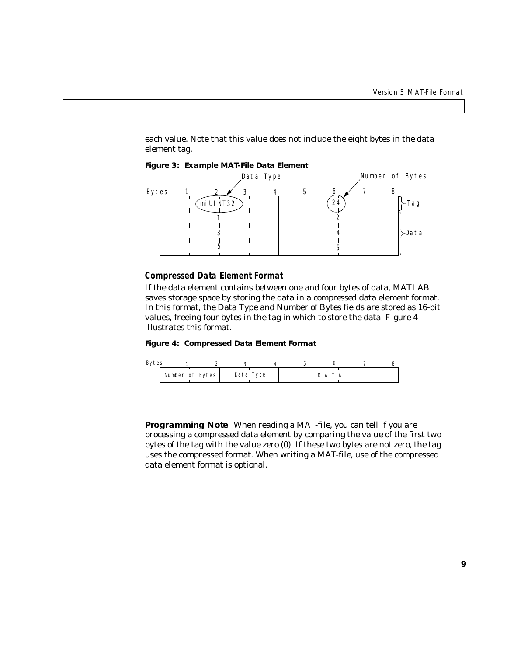each value. Note that this value does not include the eight bytes in the data element tag.



#### <span id="page-10-1"></span>**Figure 3: Example MAT-File Data Element**

#### <span id="page-10-2"></span><span id="page-10-0"></span>**Compressed Data Element Format**

If the data element contains between one and four bytes of data, MATLAB saves storage space by storing the data in a *compressed* data element format. In this format, the Data Type and Number of Bytes fields are stored as 16-bit values, freeing four bytes in the tag in which to store the data. Figure 4 illustrates this format.

#### **Figure 4: Compressed Data Element Format**



**Programming Note** When reading a MAT-file, you can tell if you are processing a compressed data element by comparing the value of the first two bytes of the tag with the value zero (0). If these two bytes are not zero, the tag uses the compressed format. When writing a MAT-file, use of the compressed data element format is optional.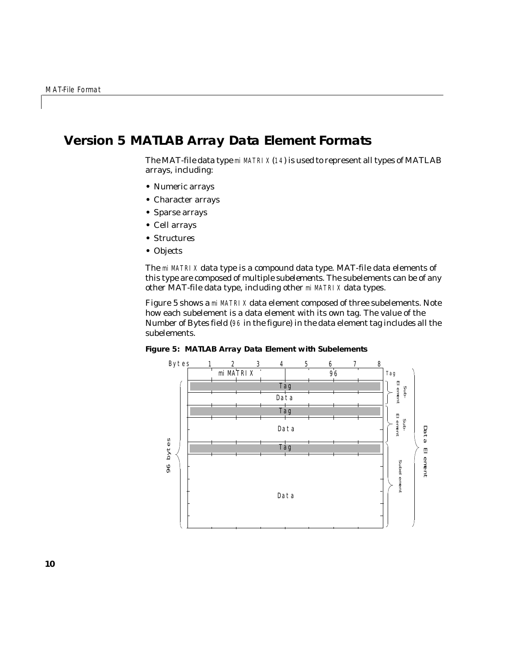# <span id="page-11-0"></span>**Version 5 MATLAB Array Data Element Formats**

<span id="page-11-2"></span>The MAT-file data type  $m$  MATRI X  $(14)$  is used to represent all types of MATLAB arrays, including:

- **•** Numeric arrays
- **•** Character arrays
- **•** Sparse arrays
- **•** Cell arrays
- **•** Structures
- **•** Objects

<span id="page-11-3"></span>The mi MATRIX data type is a compound data type. MAT-file data elements of this type are composed of multiple *subelements*. The subelements can be of any other MAT-file data type, including other mi MATRIX data types.

[Figure 5](#page-11-1) shows a mi MATRIX data element composed of three subelements. Note how each subelement is a data element with its own tag. The value of the Number of Bytes field (96 in the figure) in the data element tag includes all the subelements.



<span id="page-11-1"></span>**Figure 5: MATLAB Array Data Element with Subelements**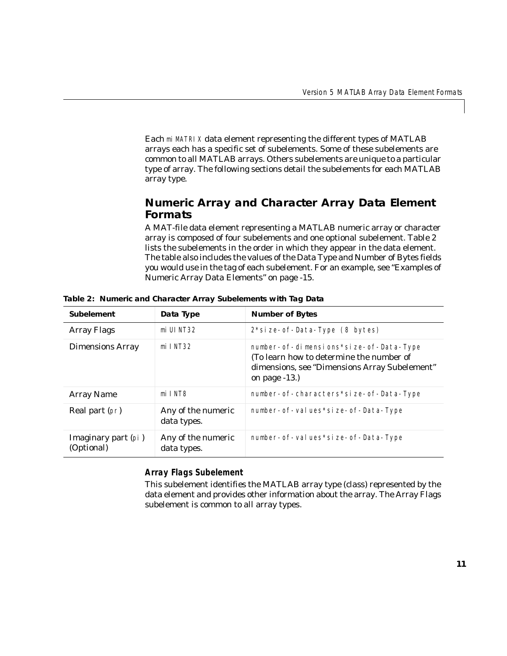Each miMATRIX data element representing the different types of MATLAB arrays each has a specific set of subelements. Some of these subelements are common to all MATLAB arrays. Others subelements are unique to a particular type of array. The following sections detail the subelements for each MATLAB array type.

# <span id="page-12-0"></span>**Numeric Array and Character Array Data Element Formats**

<span id="page-12-3"></span>A MAT-file data element representing a MATLAB numeric array or character array is composed of four subelements and one optional subelement. [Table 2](#page-12-1)  lists the subelements in the order in which they appear in the data element. The table also includes the values of the Data Type and Number of Bytes fields you would use in the tag of each subelement. For an example, see ["Examples of](#page-16-0)  [Numeric Array Data Elements" on page -15.](#page-16-0)

| <b>Subelement</b>                 | Data Type                         | <b>Number of Bytes</b>                                                                                                                                    |
|-----------------------------------|-----------------------------------|-----------------------------------------------------------------------------------------------------------------------------------------------------------|
| <b>Array Flags</b>                | mi UI NT32                        | $2$ *si ze- of - Data-Type $(8 \text{ bytes})$                                                                                                            |
| <b>Dimensions Array</b>           | $mi$ I NT32                       | number- of-dimensions*size- of-Data-Type<br>(To learn how to determine the number of<br>dimensions, see "Dimensions Array Subelement"<br>on page $-13$ .) |
| <b>Array Name</b>                 | mi INT8                           | number- of-characters*size- of-Data-Type                                                                                                                  |
| Real part (pr)                    | Any of the numeric<br>data types. | number- of-values*size- of-Data-Type                                                                                                                      |
| Imaginary part (pi)<br>(Optional) | Any of the numeric<br>data types. | number- of-values*size- of-Data-Type                                                                                                                      |

<span id="page-12-1"></span>**Table 2: Numeric and Character Array Subelements with Tag Data**

## <span id="page-12-2"></span>**Array Flags Subelement**

This subelement identifies the MATLAB array type (class) represented by the data element and provides other information about the array. The Array Flags subelement is common to all array types.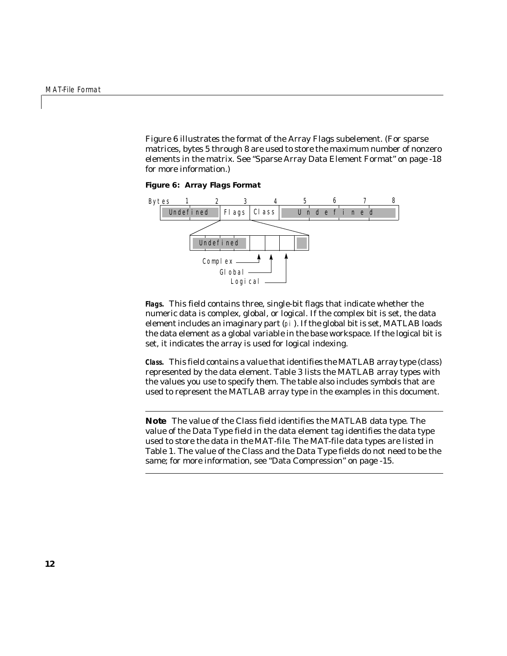[Figure 6](#page-13-0) illustrates the format of the Array Flags subelement. (For sparse matrices, bytes 5 through 8 are used to store the maximum number of nonzero elements in the matrix. See ["Sparse Array Data Element Format" on page -18](#page-19-0)  for more information.)

<span id="page-13-0"></span>**Figure 6: Array Flags Format**



<span id="page-13-3"></span><span id="page-13-2"></span>**Flags.** This field contains three, single-bit flags that indicate whether the numeric data is complex, global, or logical. If the complex bit is set, the data element includes an imaginary part (pi). If the global bit is set, MATLAB loads the data element as a global variable in the base workspace. If the logical bit is set, it indicates the array is used for logical indexing.

<span id="page-13-1"></span>**Class.** This field contains a value that identifies the MATLAB array type (class) represented by the data element. [Table 3](#page-14-1) lists the MATLAB array types with the values you use to specify them. The table also includes symbols that are used to represent the MATLAB array type in the examples in this document.

<span id="page-13-4"></span>**Note** The value of the Class field identifies the MATLAB data type. The value of the Data Type field in the data element tag identifies the data type used to store the data *in the MAT-file*. The MAT-file data types are listed in [Table 1](#page-8-0). The value of the Class and the Data Type fields do not need to be the same; for more information, see ["Data Compression" on page -15](#page-16-1).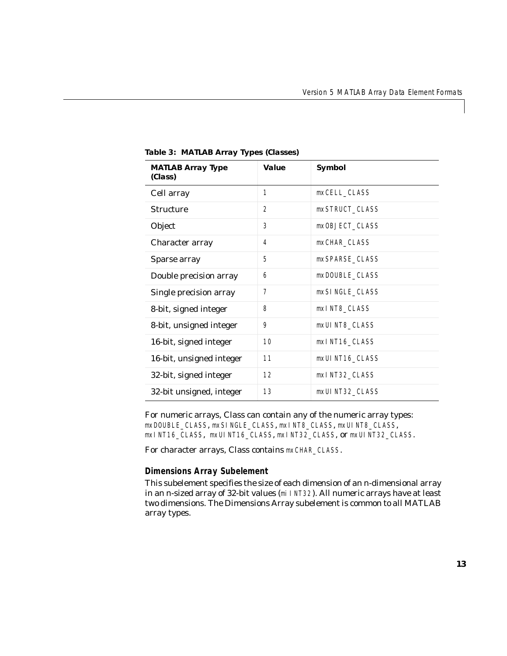| <b>MATLAB Array Type</b><br>(Class) | Value            | Symbol          |
|-------------------------------------|------------------|-----------------|
| Cell array                          | $\mathbf{1}$     | mxCELL_CLASS    |
| <b>Structure</b>                    | $\boldsymbol{2}$ | mxSTRUCT_CLASS  |
| Object                              | 3                | mx0BJECT_CLASS  |
| Character array                     | $\overline{4}$   | mxCHAR_CLASS    |
| Sparse array                        | 5                | mxSPARSE_CLASS  |
| Double precision array              | 6                | mxDOUBLE CLASS  |
| Single precision array              | 7                | mxSI NGLE CLASS |
| 8-bit, signed integer               | 8                | mxINT8_CLASS    |
| 8-bit, unsigned integer             | 9                | mxUI NT8_CLASS  |
| 16-bit, signed integer              | 10               | mxINT16_CLASS   |
| 16-bit, unsigned integer            | 11               | mxUI NT16_CLASS |
| 32-bit, signed integer              | 12               | mxINT32_CLASS   |
| 32-bit unsigned, integer            | 13               | mxUI NT32 CLASS |

<span id="page-14-1"></span>**Table 3: MATLAB Array Types (Classes)**

<span id="page-14-2"></span>For numeric arrays, Class can contain any of the numeric array types: mxDOUBLE\_CLASS, mxSINGLE\_CLASS, mxINT8\_CLASS, mxUINT8\_CLASS, mxINT16\_CLASS, mxUINT16\_CLASS, mxINT32\_CLASS, or mxUINT32\_CLASS.

For character arrays, Class contains mxCHAR\_CLASS.

#### <span id="page-14-3"></span><span id="page-14-0"></span>**Dimensions Array Subelement**

This subelement specifies the size of each dimension of an *n*-dimensional array in an *n*-sized array of 32-bit values (miINT32). All numeric arrays have at least two dimensions. The Dimensions Array subelement is common to all MATLAB array types.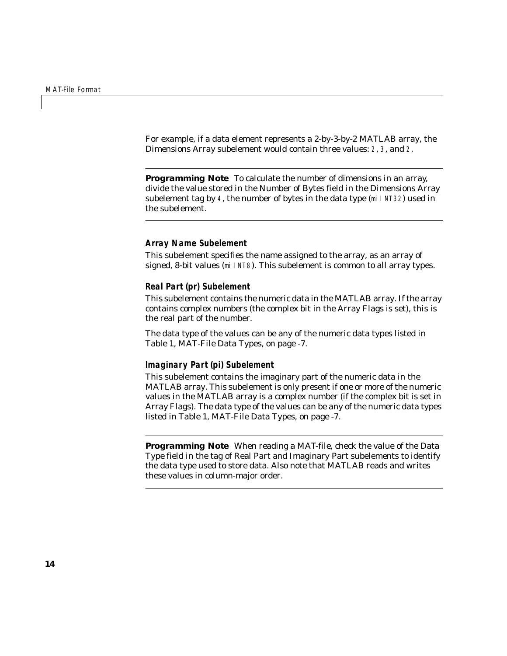For example, if a data element represents a 2-by-3-by-2 MATLAB array, the Dimensions Array subelement would contain three values: 2, 3, and 2.

<span id="page-15-2"></span>**Programming Note** To calculate the number of dimensions in an array, divide the value stored in the Number of Bytes field in the Dimensions Array subelement tag by 4, the number of bytes in the data type (miINT32) used in the subelement.

#### <span id="page-15-1"></span><span id="page-15-0"></span>**Array Name Subelement**

This subelement specifies the name assigned to the array, as an array of signed, 8-bit values (miINT8). This subelement is common to all array types.

#### <span id="page-15-4"></span>**Real Part (pr) Subelement**

This subelement contains the numeric data in the MATLAB array. If the array contains complex numbers (the complex bit in the Array Flags is set), this is the real part of the number.

The data type of the values can be any of the numeric data types listed in [Table 1, MAT-File Data Types, on page -7](#page-8-0).

#### <span id="page-15-3"></span>**Imaginary Part (pi) Subelement**

This subelement contains the imaginary part of the numeric data in the MATLAB array. This subelement is only present if one or more of the numeric values in the MATLAB array is a complex number (if the complex bit is set in Array Flags). The data type of the values can be any of the numeric data types listed in [Table 1, MAT-File Data Types, on page -7.](#page-8-0)

**Programming Note** When reading a MAT-file, check the value of the Data Type field in the tag of Real Part and Imaginary Part subelements to identify the data type used to store data. Also note that MATLAB reads and writes these values in column-major order.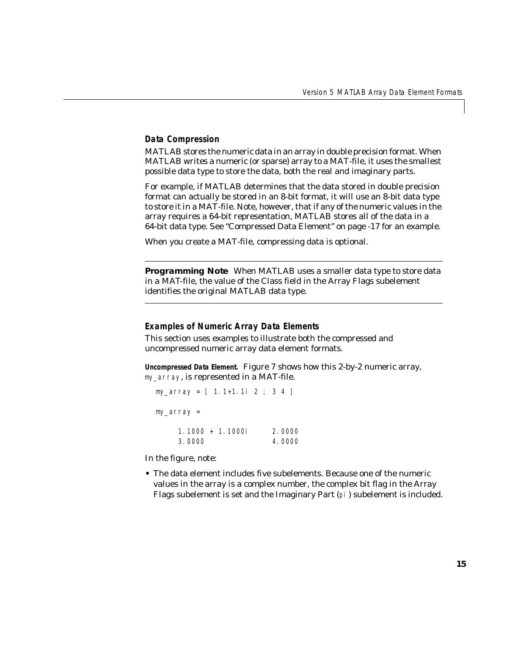#### <span id="page-16-2"></span><span id="page-16-1"></span>**Data Compression**

MATLAB stores the numeric data in an array in double precision format. When MATLAB writes a numeric (or sparse) array to a MAT-file, it uses the smallest possible data type to store the data, both the real and imaginary parts.

For example, if MATLAB determines that the data stored in double precision format can actually be stored in an 8-bit format, it will use an 8-bit data type to store it in a MAT-file. Note, however, that if any of the numeric values in the array requires a 64-bit representation, MATLAB stores all of the data in a 64-bit data type. See ["Compressed Data Element" on page -17](#page-18-0) for an example.

When you create a MAT-file, compressing data is optional.

**Programming Note** When MATLAB uses a smaller data type to store data in a MAT-file, the value of the Class field in the Array Flags subelement identifies the original MATLAB data type.

#### <span id="page-16-0"></span>**Examples of Numeric Array Data Elements**

This section uses examples to illustrate both the compressed and uncompressed numeric array data element formats.

**Uncompressed Data Element.** [Figure 7](#page-17-0) shows how this 2-by-2 numeric array, my\_array, is represented in a MAT-file.

my\_array = [ 1.1+1.1i 2 ; 3 4 ] my\_array =

<span id="page-16-3"></span>

| $1.1000 + 1.1000i$ | 2.0000 |
|--------------------|--------|
| 3.0000             | 4.0000 |

In the figure, note:

**•** The data element includes five subelements. Because one of the numeric values in the array is a complex number, the complex bit flag in the Array Flags subelement is set and the Imaginary Part (pi) subelement is included.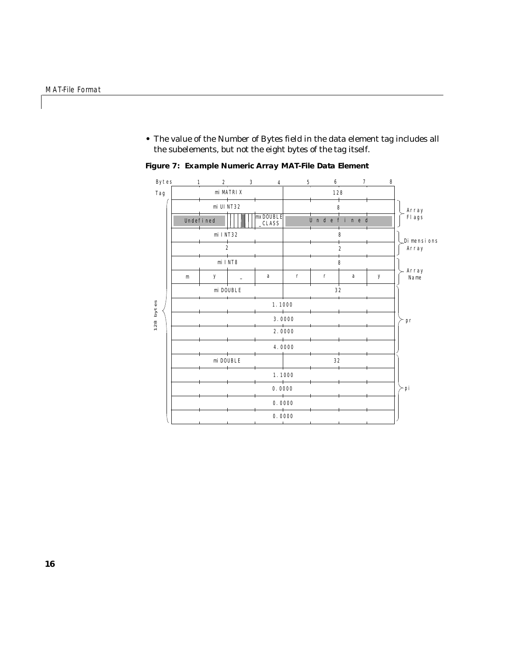**•** The value of the Number of Bytes field in the data element tag includes all the subelements, but not the eight bytes of the tag itself.



<span id="page-17-0"></span>**Figure 7: Example Numeric Array MAT-File Data Element**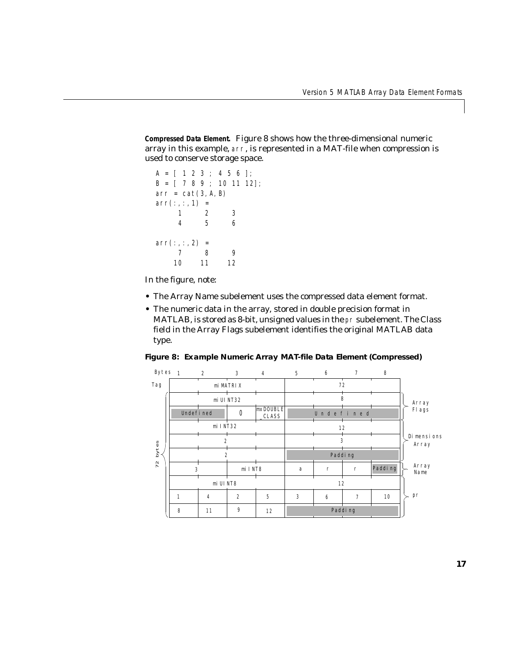<span id="page-18-0"></span>**Compressed Data Element.** [Figure 8](#page-18-1) shows how the three-dimensional numeric array in this example, arr, is represented in a MAT-file when compression is used to conserve storage space.

```
A = [ 1 2 3 ; 4 5 6 ];B = [ 789; 101112];arr = cat(3, A, B)arr(:,:,1) =1 2 3
    456
arr(:,:, 2) =789
   10 11 12
```
In the figure, note:

- <span id="page-18-2"></span>**•** The Array Name subelement uses the compressed data element format.
- **•** The numeric data in the array, stored in double precision format in MATLAB, is stored as 8-bit, unsigned values in the pr subelement. The Class field in the Array Flags subelement identifies the original MATLAB data type.

<span id="page-18-1"></span>**Figure 8: Example Numeric Array MAT-file Data Element (Compressed)**

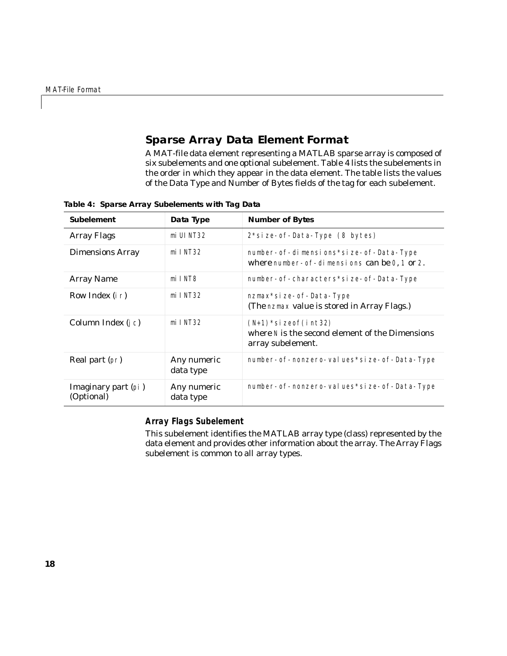# <span id="page-19-3"></span><span id="page-19-0"></span>**Sparse Array Data Element Format**

A MAT-file data element representing a MATLAB sparse array is composed of six subelements and one optional subelement. [Table 4](#page-19-1) lists the subelements in the order in which they appear in the data element. The table lists the values of the Data Type and Number of Bytes fields of the tag for each subelement.

| <b>Subelement</b>                 | Data Type                | <b>Number of Bytes</b>                                                                             |
|-----------------------------------|--------------------------|----------------------------------------------------------------------------------------------------|
| <b>Array Flags</b>                | mi UI NT32               | 2*size-of-Data-Type (8 bytes)                                                                      |
| <b>Dimensions Array</b>           | $mi$ I NT32              | number- of-dimensions*size- of-Data-Type<br>where number- of-dimensions can be 0, 1 or 2.          |
| <b>Array Name</b>                 | mi INT8                  | number- of-characters*size- of-Data-Type                                                           |
| Row Index (i r)                   | $mi$ I NT32              | nzmax*si ze- of - Data-Type<br>(The nzmax value is stored in Array Flags.)                         |
| Column Index (j c)                | $mi$ I NT32              | $(N+1)$ * si zeof (int 32)<br>where N is the second element of the Dimensions<br>array subelement. |
| Real part (pr)                    | Any numeric<br>data type | number- of-nonzero-values*size- of-Data-Type                                                       |
| Imaginary part (pi)<br>(Optional) | Any numeric<br>data type | number- of-nonzero- values*size- of-Data-Type                                                      |

<span id="page-19-1"></span>**Table 4: Sparse Array Subelements with Tag Data**

#### **Array Flags Subelement**

<span id="page-19-2"></span>This subelement identifies the MATLAB array type (class) represented by the data element and provides other information about the array. The Array Flags subelement is common to all array types.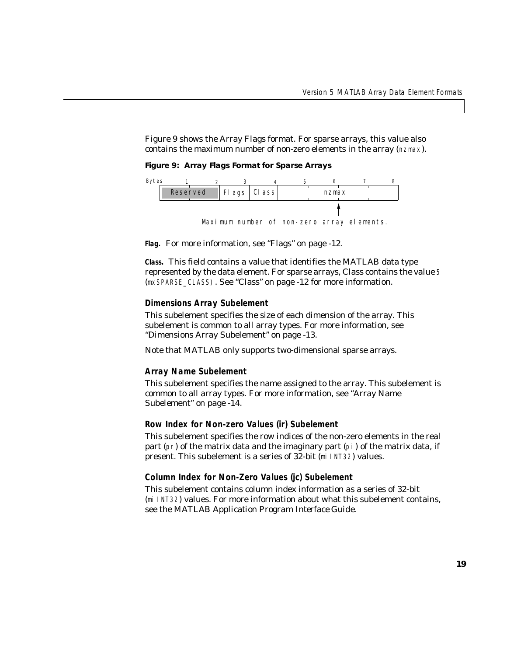[Figure 9](#page-20-0) shows the Array Flags format. For sparse arrays, this value also contains the maximum number of non-zero elements in the array (nzmax).

<span id="page-20-0"></span>**Figure 9: Array Flags Format for Sparse Arrays**



**Flag.** For more information, see ["Flags" on page -12](#page-13-2).

**Class.** This field contains a value that identifies the MATLAB data type represented by the data element. For sparse arrays, Class contains the value 5 (mxSPARSE\_CLASS). See ["Class" on page -12](#page-13-1) for more information.

#### **Dimensions Array Subelement**

This subelement specifies the size of each dimension of the array. This subelement is common to all array types. For more information, see ["Dimensions Array Subelement" on page -13](#page-14-0).

Note that MATLAB only supports two-dimensional sparse arrays.

#### **Array Name Subelement**

This subelement specifies the name assigned to the array. This subelement is common to all array types. For more information, see ["Array Name](#page-15-0)  [Subelement" on page -14.](#page-15-0)

#### **Row Index for Non-zero Values (ir) Subelement**

This subelement specifies the row indices of the non-zero elements in the real part (pr) of the matrix data and the imaginary part (pi) of the matrix data, if present. This subelement is a series of 32-bit (miINT32) values.

## **Column Index for Non-Zero Values (jc) Subelement**

This subelement contains column index information as a series of 32-bit (miINT32) values. For more information about what this subelement contains, see the *MATLAB Application Program Interface Guide*.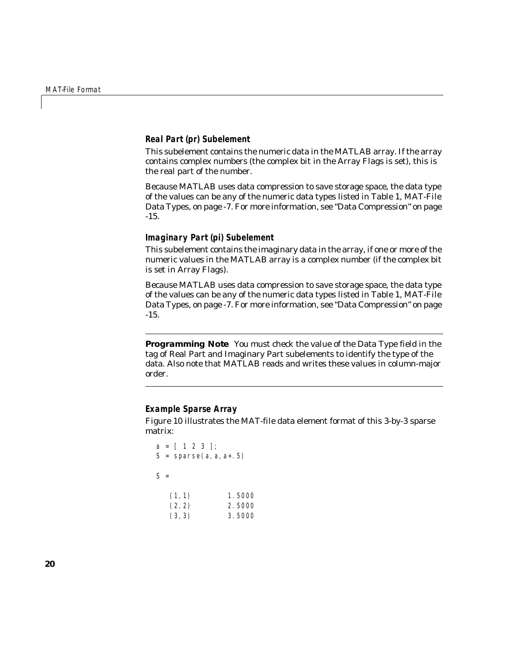#### **Real Part (pr) Subelement**

This subelement contains the numeric data in the MATLAB array. If the array contains complex numbers (the complex bit in the Array Flags is set), this is the real part of the number.

Because MATLAB uses data compression to save storage space, the data type of the values can be any of the numeric data types listed in [Table 1, MAT-File](#page-8-0)  [Data Types, on page -7.](#page-8-0) For more information, see ["Data Compression" on page](#page-16-1)  [-15](#page-16-1).

#### **Imaginary Part (pi) Subelement**

This subelement contains the imaginary data in the array, if one or more of the numeric values in the MATLAB array is a complex number (if the complex bit is set in Array Flags).

Because MATLAB uses data compression to save storage space, the data type of the values can be any of the numeric data types listed in [Table 1, MAT-File](#page-8-0)  [Data Types, on page -7.](#page-8-0) For more information, see ["Data Compression" on page](#page-16-1)  [-15](#page-16-1).

**Programming Note** You must check the value of the Data Type field in the tag of Real Part and Imaginary Part subelements to identify the type of the data. Also note that MATLAB reads and writes these values in column-major order.

#### **Example Sparse Array**

[Figure 10](#page-22-0) illustrates the MAT-file data element format of this 3-by-3 sparse matrix:

```
a = [ 1 2 3 ];
S = sparse(a, a, a+.5)S =(1, 1) 1.5000
  (2, 2) 2.5000
   (3,3) 3.5000
```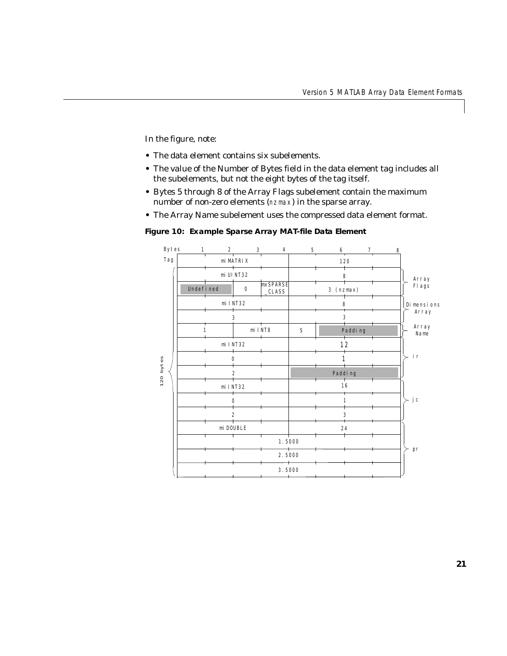In the figure, note:

- **•** The data element contains six subelements.
- **•** The value of the Number of Bytes field in the data element tag includes all the subelements, but not the eight bytes of the tag itself.
- **•** Bytes 5 through 8 of the Array Flags subelement contain the maximum number of non-zero elements (nzmax) in the sparse array.
- **•** The Array Name subelement uses the compressed data element format.

<span id="page-22-0"></span>**Figure 10: Example Sparse Array MAT-file Data Element**

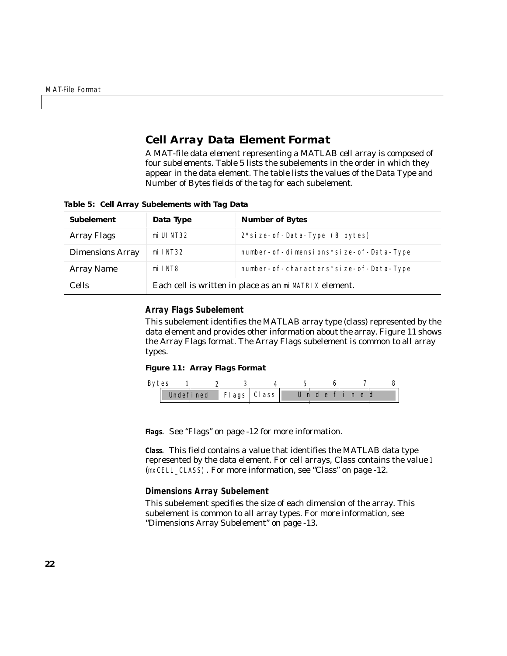# <span id="page-23-3"></span><span id="page-23-0"></span>**Cell Array Data Element Format**

A MAT-file data element representing a MATLAB cell array is composed of four subelements. [Table 5](#page-23-1) lists the subelements in the order in which they appear in the data element. The table lists the values of the Data Type and Number of Bytes fields of the tag for each subelement.

| <b>Subelement</b>       | Data Type                                              | <b>Number of Bytes</b>                         |  |  |  |  |
|-------------------------|--------------------------------------------------------|------------------------------------------------|--|--|--|--|
| <b>Array Flags</b>      | mi UI NT32                                             | $2$ *si ze- of - Data-Type $(8 \text{ bytes})$ |  |  |  |  |
| <b>Dimensions Array</b> | $mi$ I NT32                                            | number- of-dimensions*size- of-Data-Type       |  |  |  |  |
| <b>Array Name</b>       | mi INT8                                                | number- of-characters*size- of-Data-Type       |  |  |  |  |
| <b>Cells</b>            | Each cell is written in place as an mi MATRIX element. |                                                |  |  |  |  |

<span id="page-23-1"></span>**Table 5: Cell Array Subelements with Tag Data**

#### **Array Flags Subelement**

This subelement identifies the MATLAB array type (class) represented by the data element and provides other information about the array. [Figure 11](#page-23-2) shows the Array Flags format. The Array Flags subelement is common to all array types.

#### <span id="page-23-2"></span>**Figure 11: Array Flags Format**

| Bytes |  |  |                           |           |  |  |  |  |
|-------|--|--|---------------------------|-----------|--|--|--|--|
|       |  |  | Undefined   Flags   Class | Undefined |  |  |  |  |

**Flags.** See ["Flags" on page -12](#page-13-2) for more information.

**Class.** This field contains a value that identifies the MATLAB data type represented by the data element. For cell arrays, Class contains the value 1 (mxCELL\_CLASS). For more information, see ["Class" on page -12.](#page-13-1)

#### **Dimensions Array Subelement**

This subelement specifies the size of each dimension of the array. This subelement is common to all array types. For more information, see ["Dimensions Array Subelement" on page -13.](#page-14-0)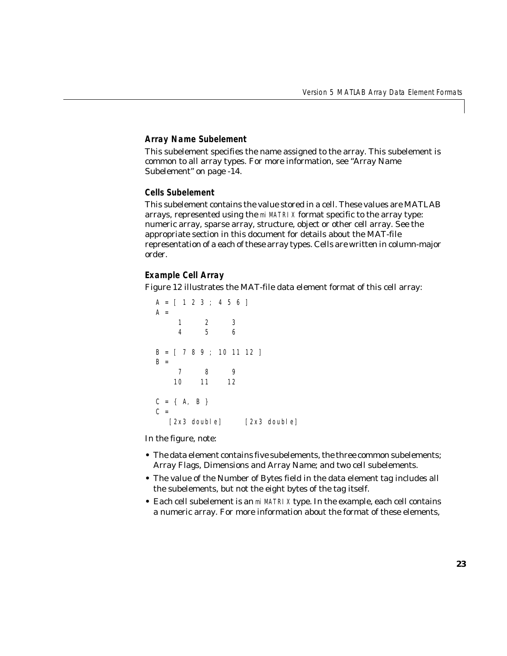#### **Array Name Subelement**

This subelement specifies the name assigned to the array. This subelement is common to all array types. For more information, see ["Array Name](#page-15-0)  [Subelement" on page -14.](#page-15-0)

#### **Cells Subelement**

This subelement contains the value stored in a cell. These values are MATLAB arrays, represented using the miMATRIX format specific to the array type: numeric array, sparse array, structure, object or other cell array. See the appropriate section in this document for details about the MAT-file representation of a each of these array types. Cells are written in column-major order.

#### **Example Cell Array**

[Figure 12](#page-25-0) illustrates the MAT-file data element format of this cell array:

```
A = [ 1 2 3 ; 4 5 6 ]A = 1 2 3
 4 5 6
B = [ 789; 101112 ]B = 7 8 9
    10 11 12
C = \{ A, B \}C =[2x3 double] [2x3 double]
```
In the figure, note:

- **•** The data element contains five subelements, the three common subelements; Array Flags, Dimensions and Array Name; and two cell subelements.
- **•** The value of the Number of Bytes field in the data element tag includes all the subelements, but not the eight bytes of the tag itself.
- **•** Each cell subelement is an miMATRIX type. In the example, each cell contains a numeric array. For more information about the format of these elements,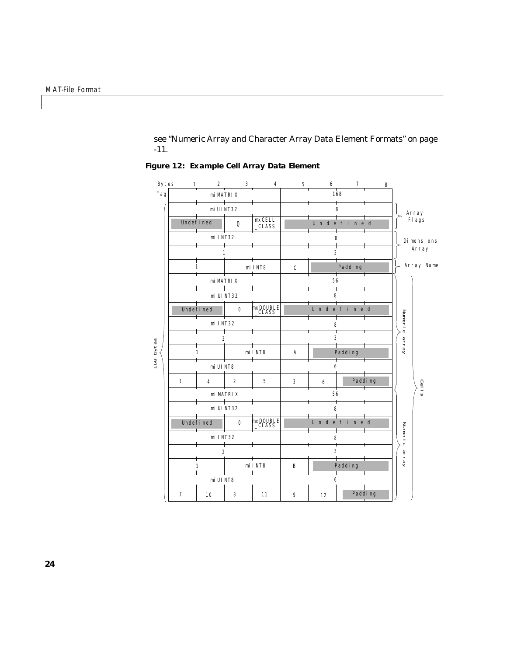see ["Numeric Array and Character Array Data Element Formats" on page](#page-12-0)  [-11](#page-12-0).



<span id="page-25-0"></span>**Figure 12: Example Cell Array Data Element**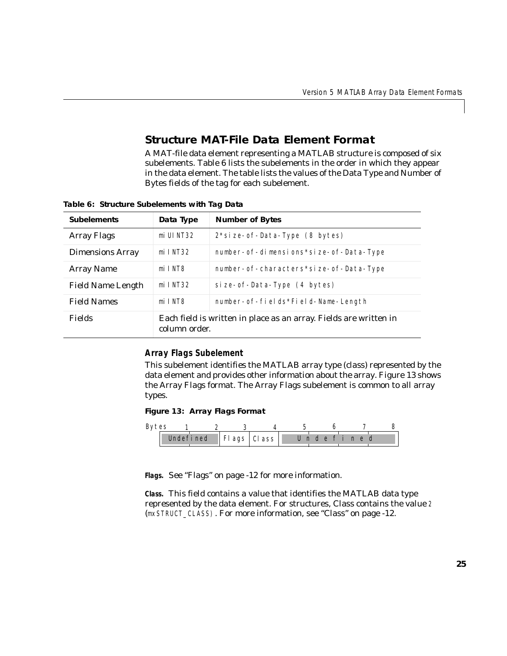# <span id="page-26-3"></span><span id="page-26-0"></span>**Structure MAT-File Data Element Format**

A MAT-file data element representing a MATLAB structure is composed of six subelements. [Table 6](#page-26-1) lists the subelements in the order in which they appear in the data element. The table lists the values of the Data Type and Number of Bytes fields of the tag for each subelement.

| <b>Subelements</b>       | Data Type                                                                          | <b>Number of Bytes</b>                   |  |  |  |
|--------------------------|------------------------------------------------------------------------------------|------------------------------------------|--|--|--|
| <b>Array Flags</b>       | mi UI NT32                                                                         | $2 * si$ ze- of-Data-Type (8 bytes)      |  |  |  |
| <b>Dimensions Array</b>  | $mi$ I NT32                                                                        | number- of-dimensions*size- of-Data-Type |  |  |  |
| Array Name               | mi INT8                                                                            | number- of-characters*size- of-Data-Type |  |  |  |
| <b>Field Name Length</b> | $mi$ I NT32                                                                        | si ze- of - Data-Type (4 bytes)          |  |  |  |
| <b>Field Names</b>       | mi INT8                                                                            | number- of-fields*Field-Name-Length      |  |  |  |
| <b>Fields</b>            | Each field is written in place as an array. Fields are written in<br>column order. |                                          |  |  |  |

<span id="page-26-1"></span>**Table 6: Structure Subelements with Tag Data**

#### **Array Flags Subelement**

This subelement identifies the MATLAB array type (class) represented by the data element and provides other information about the array. [Figure 13](#page-26-2) shows the Array Flags format. The Array Flags subelement is common to all array types.

<span id="page-26-2"></span>**Figure 13: Array Flags Format**

| Bytes |  |  |                                 |           |  |  |
|-------|--|--|---------------------------------|-----------|--|--|
|       |  |  | Undefined   $FI$ ags   $Cl$ ass | Undefined |  |  |

**Flags.** See ["Flags" on page -12](#page-13-2) for more information.

**Class.** This field contains a value that identifies the MATLAB data type represented by the data element. For structures, Class contains the value 2 (mxSTRUCT\_CLASS). For more information, see ["Class" on page -12.](#page-13-1)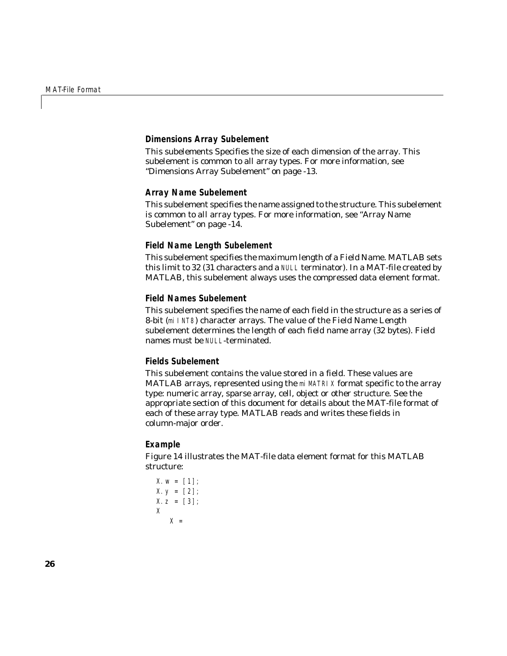#### **Dimensions Array Subelement**

This subelements Specifies the size of each dimension of the array. This subelement is common to all array types. For more information, see ["Dimensions Array Subelement" on page -13.](#page-14-0)

#### **Array Name Subelement**

This subelement specifies the name assigned to the structure. This subelement is common to all array types. For more information, see ["Array Name](#page-15-0)  [Subelement" on page -14.](#page-15-0)

#### <span id="page-27-4"></span><span id="page-27-0"></span>**Field Name Length Subelement**

This subelement specifies the maximum length of a Field Name. MATLAB sets this limit to 32 (31 characters and a NULL terminator). In a MAT-file created by MATLAB, this subelement always uses the compressed data element format.

#### <span id="page-27-5"></span><span id="page-27-1"></span>**Field Names Subelement**

This subelement specifies the name of each field in the structure as a series of 8-bit (miINT8) character arrays. The value of the Field Name Length subelement determines the length of each field name array (32 bytes). Field names must be NULL-terminated.

#### <span id="page-27-2"></span>**Fields Subelement**

This subelement contains the value stored in a field. These values are MATLAB arrays, represented using the miMATRIX format specific to the array type: numeric array, sparse array, cell, object or other structure. See the appropriate section of this document for details about the MAT-file format of each of these array type. MATLAB reads and writes these fields in column-major order.

#### <span id="page-27-6"></span><span id="page-27-3"></span>**Example**

[Figure 14](#page-29-0) illustrates the MAT-file data element format for this MATLAB structure:

```
X. w = [1];X. y = [2];X. z = [3];X
   X =
```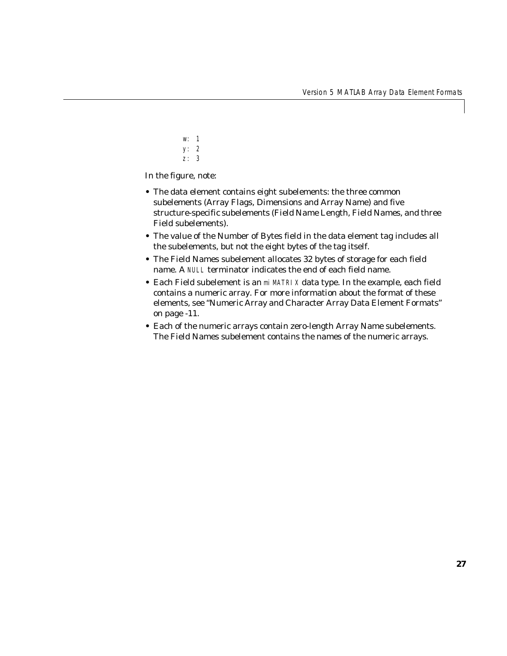w: 1 y: 2 z: 3

In the figure, note:

- **•** The data element contains eight subelements: the three common subelements (Array Flags, Dimensions and Array Name) and five structure-specific subelements (Field Name Length, Field Names, and three Field subelements).
- **•** The value of the Number of Bytes field in the data element tag includes all the subelements, but not the eight bytes of the tag itself.
- **•** The Field Names subelement allocates 32 bytes of storage for each field name. A NULL terminator indicates the end of each field name.
- **•** Each Field subelement is an miMATRIX data type. In the example, each field contains a numeric array. For more information about the format of these elements, see ["Numeric Array and Character Array Data Element Formats"](#page-12-0)  [on page -11](#page-12-0).
- **•** Each of the numeric arrays contain zero-length Array Name subelements. The Field Names subelement contains the names of the numeric arrays.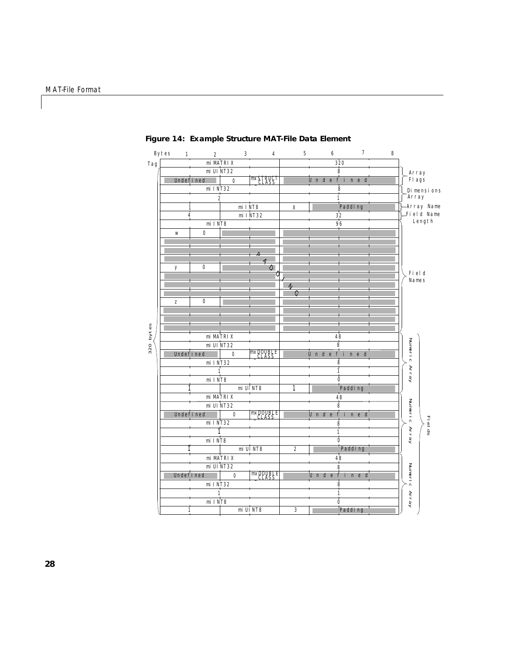|           | Bytes<br>$\mathbf{1}$ | $\boldsymbol{2}$ | 3                | 4                 | 5                | 6         | 7                      | 8 |               |        |
|-----------|-----------------------|------------------|------------------|-------------------|------------------|-----------|------------------------|---|---------------|--------|
| Tag       |                       |                  | mi MATRI X       |                   |                  |           | 320                    |   |               |        |
|           |                       |                  | mi UI NT32       |                   |                  |           | 8                      |   | Array         |        |
|           |                       | Undefined        | $\mathbf{0}$     | $mxS$ .           |                  | Undefined |                        |   | Fl ags        |        |
|           |                       | mi INT32         |                  |                   |                  |           | 8                      |   | Di mensions   |        |
|           |                       |                  | $\boldsymbol{2}$ |                   |                  | 1         |                        |   | Array         |        |
|           |                       |                  | mi INT8          |                   | $\mathbf X$      |           | Padding                |   | Array Name    |        |
|           |                       |                  |                  | mi INT32          |                  |           | 32                     |   | Field Name    |        |
|           |                       | mi INT8          |                  |                   |                  |           | 96                     |   | Length        |        |
|           | W                     | $\bf{0}$         |                  |                   |                  |           |                        |   |               |        |
|           |                       |                  |                  |                   |                  |           |                        |   |               |        |
|           |                       |                  |                  |                   |                  |           |                        |   |               |        |
|           |                       |                  |                  | 4                 |                  |           |                        |   |               |        |
|           | y                     | $\bf{0}$         |                  | O                 |                  |           |                        |   | Fi el d       |        |
|           |                       |                  |                  |                   |                  |           |                        |   | Names         |        |
|           |                       |                  |                  |                   |                  |           |                        |   |               |        |
|           |                       |                  |                  |                   | C                |           |                        |   |               |        |
|           | z                     | $\bf{0}$         |                  |                   |                  |           |                        |   |               |        |
|           |                       |                  |                  |                   |                  |           |                        |   |               |        |
|           |                       |                  |                  |                   |                  |           |                        |   |               |        |
| 320 bytes |                       |                  |                  |                   |                  |           |                        |   |               |        |
|           |                       |                  | mi MATRI X       |                   |                  | 48        |                        |   |               |        |
|           |                       |                  | mi UI NT32       | <b>mxDOVBLE</b>   |                  | 8         |                        |   |               |        |
|           |                       | Undefined        | $\bf{0}$         |                   |                  | Unde      | fine<br>d<br>$\dot{8}$ |   |               |        |
|           |                       | mi INT32         | 1                |                   |                  |           | i                      |   |               |        |
|           |                       | mi INT8          |                  |                   |                  |           | $\bf{0}$               |   | Numeric Array |        |
|           |                       |                  |                  | mi UI NT8         | 1                |           | Padding                |   |               |        |
|           |                       |                  | mi MATRI X       |                   |                  |           | 48                     |   |               |        |
|           |                       |                  | mi UI NT32       |                   |                  |           | 8                      |   |               |        |
|           |                       | Undefined        | $\bf{0}$         | mxDOUBLE<br>CLASS |                  | Undefined |                        |   | Numeric       |        |
|           |                       | mi INT32         |                  |                   |                  | 8         |                        |   |               |        |
|           |                       |                  |                  |                   |                  |           |                        |   | Array         | Fields |
|           |                       | mi INT8          |                  |                   |                  |           | $\bf{0}$               |   |               |        |
|           |                       |                  |                  | mi UI NT8         | $\boldsymbol{2}$ |           | Padding                |   |               |        |
|           |                       |                  | mi MATRI X       |                   |                  |           | 48                     |   |               |        |
|           |                       |                  | mi UI NT32       |                   |                  |           | 8                      |   |               |        |
|           |                       | Undefined        | $\mathbf{0}$     | <b>mxppyglF</b>   |                  |           | Undefined              |   |               |        |
|           |                       | mi INT32         |                  |                   |                  |           | $\bf{8}$               |   | Numeri c      |        |
|           |                       |                  | 1                |                   |                  |           | 1                      |   |               |        |
|           |                       | mi INT8          |                  |                   |                  |           | $\ddot{\mathbf{0}}$    |   | Array         |        |
|           |                       | 1                |                  | mi UI NT8         | 3                |           | Padding                |   |               |        |
|           |                       |                  |                  |                   |                  |           |                        |   |               |        |

<span id="page-29-0"></span>**Figure 14: Example Structure MAT-File Data Element**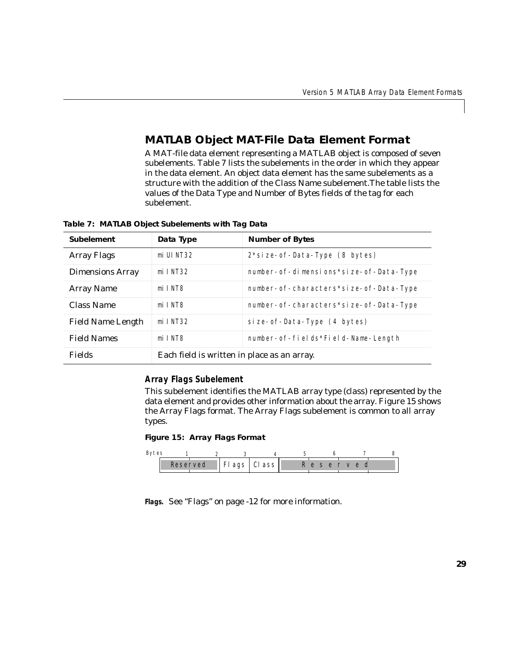# <span id="page-30-3"></span><span id="page-30-0"></span>**MATLAB Object MAT-File Data Element Format**

A MAT-file data element representing a MATLAB object is composed of seven subelements. [Table 7](#page-30-1) lists the subelements in the order in which they appear in the data element. An object data element has the same subelements as a structure with the addition of the Class Name subelement.The table lists the values of the Data Type and Number of Bytes fields of the tag for each subelement.

| <b>Subelement</b>        | Data Type                                   | <b>Number of Bytes</b>                          |  |  |
|--------------------------|---------------------------------------------|-------------------------------------------------|--|--|
| <b>Array Flags</b>       | mi UI NT32                                  | $2 * si$ ze- of - Data-Type $(8 \text{ bytes})$ |  |  |
| <b>Dimensions Array</b>  | $mi$ I NT32                                 | number- of-dimensions*size- of-Data-Type        |  |  |
| <b>Array Name</b>        | mi INT8                                     | number- of-characters*size- of-Data-Type        |  |  |
| <b>Class Name</b>        | mi INT8                                     | number- of-characters*size- of-Data-Type        |  |  |
| <b>Field Name Length</b> | $mi$ I NT32                                 | si ze- of - Data-Type (4 bytes)                 |  |  |
| <b>Field Names</b>       | mi INT8                                     | number- of-fields*Field-Name-Length             |  |  |
| Fields                   | Each field is written in place as an array. |                                                 |  |  |

<span id="page-30-1"></span>**Table 7: MATLAB Object Subelements with Tag Data**

#### **Array Flags Subelement**

This subelement identifies the MATLAB array type (class) represented by the data element and provides other information about the array. [Figure 15](#page-30-2) shows the Array Flags format. The Array Flags subelement is common to all array types.

#### <span id="page-30-2"></span>**Figure 15: Array Flags Format**



**Flags.** See ["Flags" on page -12](#page-13-2) for more information.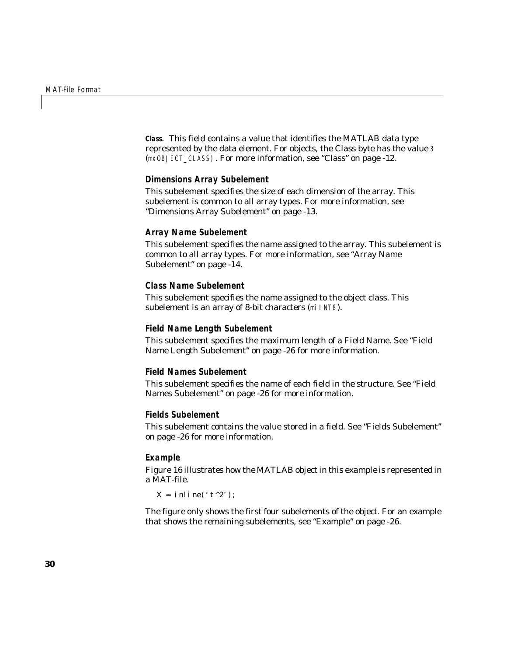**Class.** This field contains a value that identifies the MATLAB data type represented by the data element. For objects, the Class byte has the value 3 (mxOBJECT\_CLASS). For more information, see ["Class" on page -12.](#page-13-1)

#### **Dimensions Array Subelement**

This subelement specifies the size of each dimension of the array. This subelement is common to all array types. For more information, see ["Dimensions Array Subelement" on page -13.](#page-14-0)

#### **Array Name Subelement**

This subelement specifies the name assigned to the array. This subelement is common to all array types. For more information, see ["Array Name](#page-15-0)  [Subelement" on page -14.](#page-15-0)

#### **Class Name Subelement**

This subelement specifies the name assigned to the object class. This subelement is an array of 8-bit characters (mi INT8).

#### **Field Name Length Subelement**

This subelement specifies the maximum length of a Field Name. See ["Field](#page-27-0)  [Name Length Subelement" on page -26](#page-27-0) for more information.

#### **Field Names Subelement**

This subelement specifies the name of each field in the structure. See ["Field](#page-27-1)  [Names Subelement" on page -26](#page-27-1) for more information.

#### **Fields Subelement**

This subelement contains the value stored in a field. See ["Fields Subelement"](#page-27-2)  [on page -26](#page-27-2) for more information.

#### **Example**

[Figure 16](#page-32-0) illustrates how the MATLAB object in this example is represented in a MAT-file.

 $X = \text{inlin}(t^2)$ ;

The figure only shows the first four subelements of the object. For an example that shows the remaining subelements, see ["Example" on page -26.](#page-27-3)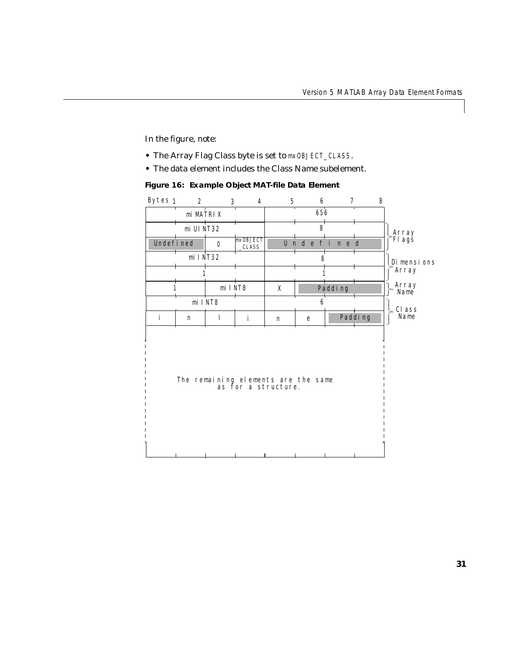In the figure, note:

- **•** The Array Flag Class byte is set to mxOBJECT\_CLASS.
- **•** The data element includes the Class Name subelement.

<span id="page-32-0"></span>**Figure 16: Example Object MAT-file Data Element**

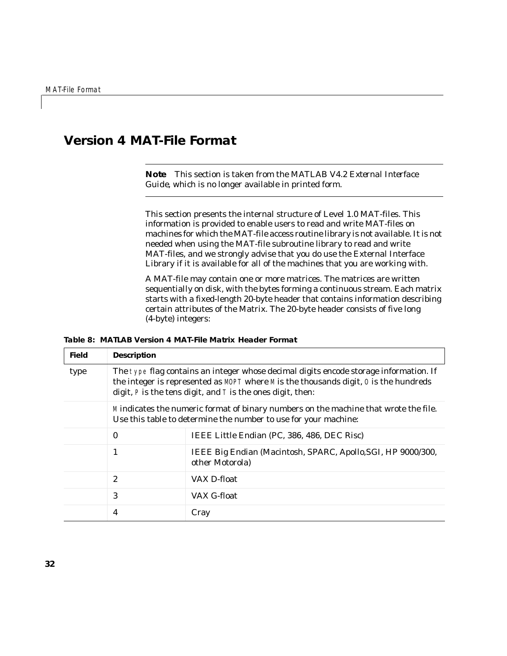# <span id="page-33-0"></span>**Version 4 MAT-File Format**

**Note** This section is taken from the MATLAB V4.2 *External Interface Guide*, which is no longer available in printed form.

<span id="page-33-1"></span>This section presents the internal structure of Level 1.0 MAT-files. This information is provided to enable users to read and write MAT-files on machines for which the MAT-file access routine library is not available. It is not needed when using the MAT-file subroutine library to read and write MAT-files, and we strongly advise that you do use the External Interface Library if it is available for all of the machines that you are working with.

A MAT-file may contain one or more matrices. The matrices are written sequentially on disk, with the bytes forming a continuous stream. Each matrix starts with a fixed-length 20-byte header that contains information describing certain attributes of the Matrix. The 20-byte header consists of five long (4-byte) integers:

#### **Table 8: MATLAB Version 4 MAT-File Matrix Header Format**

| <b>Field</b> | <b>Description</b>                                                                                                                                                                                                                          |                                                                                 |  |  |
|--------------|---------------------------------------------------------------------------------------------------------------------------------------------------------------------------------------------------------------------------------------------|---------------------------------------------------------------------------------|--|--|
| type         | The type flag contains an integer whose decimal digits encode storage information. If<br>the integer is represented as MOPT where M is the thousands digit, 0 is the hundreds<br>digit, P is the tens digit, and T is the ones digit, then: |                                                                                 |  |  |
|              | Mindicates the numeric format of binary numbers on the machine that wrote the file.<br>Use this table to determine the number to use for your machine:                                                                                      |                                                                                 |  |  |
|              | IEEE Little Endian (PC, 386, 486, DEC Risc)<br>$\mathbf{0}$                                                                                                                                                                                 |                                                                                 |  |  |
|              | 1                                                                                                                                                                                                                                           | IEEE Big Endian (Macintosh, SPARC, Apollo, SGI, HP 9000/300,<br>other Motorola) |  |  |
|              | $\overline{2}$                                                                                                                                                                                                                              | VAX D-float                                                                     |  |  |
|              | 3                                                                                                                                                                                                                                           | VAX G-float                                                                     |  |  |
|              | 4                                                                                                                                                                                                                                           | Cray                                                                            |  |  |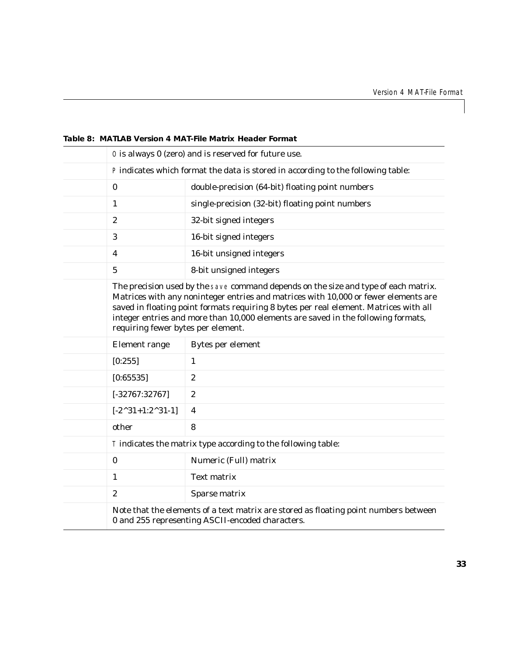| 0 is always 0 (zero) and is reserved for future use.                                                                                                                                                                                                                                                                                                                                           |                                                                                                                                          |  |  |  |
|------------------------------------------------------------------------------------------------------------------------------------------------------------------------------------------------------------------------------------------------------------------------------------------------------------------------------------------------------------------------------------------------|------------------------------------------------------------------------------------------------------------------------------------------|--|--|--|
|                                                                                                                                                                                                                                                                                                                                                                                                | P indicates which format the data is stored in according to the following table:                                                         |  |  |  |
| $\bf{0}$                                                                                                                                                                                                                                                                                                                                                                                       | double-precision (64-bit) floating point numbers                                                                                         |  |  |  |
| $\mathbf{1}$                                                                                                                                                                                                                                                                                                                                                                                   | single-precision (32-bit) floating point numbers                                                                                         |  |  |  |
| $\boldsymbol{2}$                                                                                                                                                                                                                                                                                                                                                                               | 32-bit signed integers                                                                                                                   |  |  |  |
| 3                                                                                                                                                                                                                                                                                                                                                                                              | 16-bit signed integers                                                                                                                   |  |  |  |
| 4                                                                                                                                                                                                                                                                                                                                                                                              | 16-bit unsigned integers                                                                                                                 |  |  |  |
| $\overline{5}$                                                                                                                                                                                                                                                                                                                                                                                 | 8-bit unsigned integers                                                                                                                  |  |  |  |
| The precision used by the save command depends on the size and type of each matrix.<br>Matrices with any noninteger entries and matrices with 10,000 or fewer elements are<br>saved in floating point formats requiring 8 bytes per real element. Matrices with all<br>integer entries and more than 10,000 elements are saved in the following formats,<br>requiring fewer bytes per element. |                                                                                                                                          |  |  |  |
| <b>Element</b> range                                                                                                                                                                                                                                                                                                                                                                           | Bytes per element                                                                                                                        |  |  |  |
| [0:255]                                                                                                                                                                                                                                                                                                                                                                                        | 1                                                                                                                                        |  |  |  |
| [0:65535]                                                                                                                                                                                                                                                                                                                                                                                      | $\boldsymbol{2}$                                                                                                                         |  |  |  |
| $[-32767:32767]$                                                                                                                                                                                                                                                                                                                                                                               | $\boldsymbol{2}$                                                                                                                         |  |  |  |
| $[-2^{\wedge}31+1:2^{\wedge}31-1]$                                                                                                                                                                                                                                                                                                                                                             | 4                                                                                                                                        |  |  |  |
| other                                                                                                                                                                                                                                                                                                                                                                                          | 8                                                                                                                                        |  |  |  |
| T indicates the matrix type according to the following table:                                                                                                                                                                                                                                                                                                                                  |                                                                                                                                          |  |  |  |
| $\bf{0}$                                                                                                                                                                                                                                                                                                                                                                                       | Numeric (Full) matrix                                                                                                                    |  |  |  |
| $\mathbf{1}$                                                                                                                                                                                                                                                                                                                                                                                   | <b>Text matrix</b>                                                                                                                       |  |  |  |
| $\overline{2}$                                                                                                                                                                                                                                                                                                                                                                                 | Sparse matrix                                                                                                                            |  |  |  |
|                                                                                                                                                                                                                                                                                                                                                                                                | Note that the elements of a text matrix are stored as floating point numbers between<br>0 and 255 representing ASCII-encoded characters. |  |  |  |

#### **Table 8: MATLAB Version 4 MAT-File Matrix Header Format**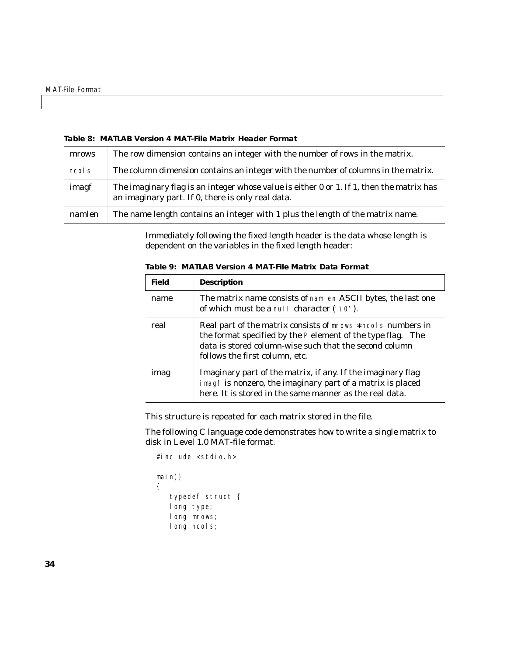| mrows  | The row dimension contains an integer with the number of rows in the matrix.                                                                  |
|--------|-----------------------------------------------------------------------------------------------------------------------------------------------|
| ncols  | The column dimension contains an integer with the number of columns in the matrix.                                                            |
| imagf  | The imaginary flag is an integer whose value is either 0 or 1. If 1, then the matrix has<br>an imaginary part. If 0, there is only real data. |
| namlen | The name length contains an integer with 1 plus the length of the matrix name.                                                                |

#### **Table 8: MATLAB Version 4 MAT-File Matrix Header Format**

Immediately following the fixed length header is the data whose length is dependent on the variables in the fixed length header:

| <b>Field</b> | <b>Description</b>                                                                                                                                                                                                       |  |
|--------------|--------------------------------------------------------------------------------------------------------------------------------------------------------------------------------------------------------------------------|--|
| name         | The matrix name consists of naml en ASCII bytes, the last one<br>of which must be a nul l character (' $\setminus$ 0').                                                                                                  |  |
| real         | Real part of the matrix consists of mrows * ncol s numbers in<br>the format specified by the P element of the type flag. The<br>data is stored column-wise such that the second column<br>follows the first column, etc. |  |
| imag         | Imaginary part of the matrix, if any. If the imaginary flag<br>i magf is nonzero, the imaginary part of a matrix is placed<br>here. It is stored in the same manner as the real data.                                    |  |

**Table 9: MATLAB Version 4 MAT-File Matrix Data Format**

This structure is repeated for each matrix stored in the file.

The following C language code demonstrates how to write a single matrix to disk in Level 1.0 MAT-file format.

```
#include <stdio.h>
main()
{
   typedef struct {
   long type; 
   long mrows;
   long ncols;
```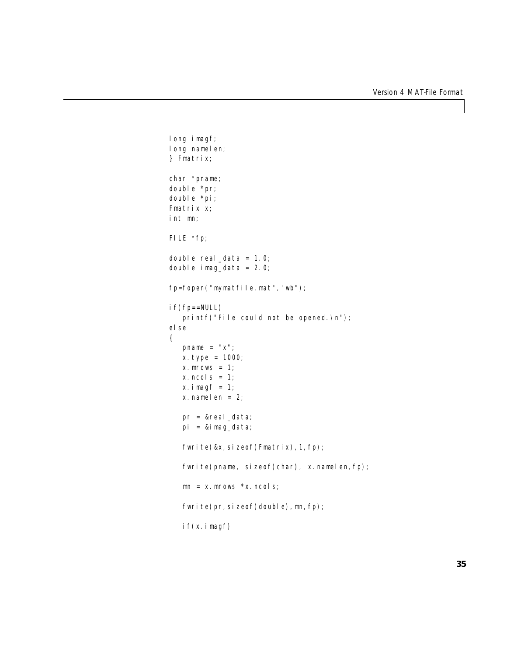```
long imagf;
long namelen;
} Fmatrix;
char *pname;
double *pr;
double *pi;
Fmatrix x;
int mn;
FILE *fp;
double real_data = 1.0;
double i mag_data = 2.0;
fp=fopen("mymatfile.mat","wb");
if(fp==NULL)
   printf("File could not be opened.\ln");
else 
{
   pname = "x";x.type = 1000;
   x. mrows = 1;
   x. ncols = 1:
   x. i magf = 1;
   x. namelen = 2;
   pr = &real_data;
   pi = &imag_data;
   fwrite(&x, sizeof(Fmatrix), 1, fp);
   fwrite(pname, sizeof(char), x.namelen,fp);
   mn = x. mrows *x. ncols;
   fwrite(pr, sizeof(double), mn, fp);
   if(x. <math>i</math> magf)
```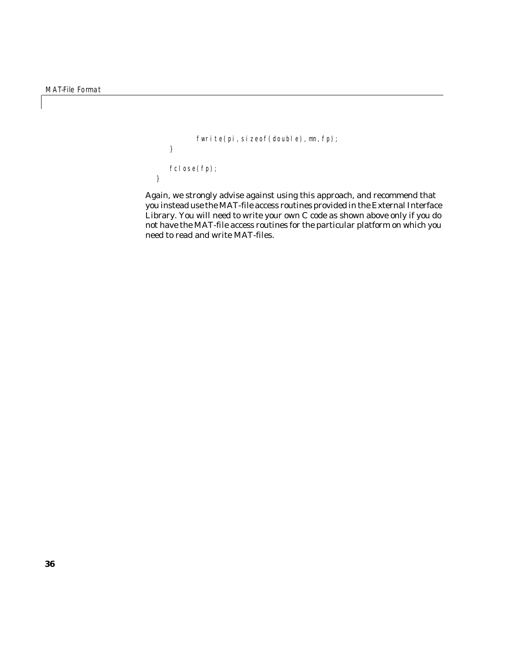```
fwrite(pi, sizeof(double), mn, fp);
   }
   fclose(fp);
}
```
Again, we strongly advise against using this approach, and recommend that you instead use the MAT-file access routines provided in the External Interface Library. You will need to write your own C code as shown above only if you do not have the MAT-file access routines for the particular platform on which you need to read and write MAT-files.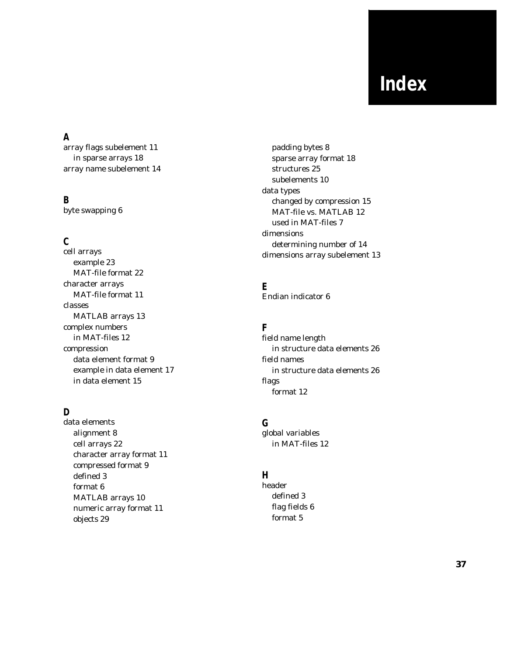# **Index**

# **A**

[array flags subelement 11](#page-12-2) [in sparse arrays 18](#page-19-2) [array name subelement 14](#page-15-1)

## **B**

[byte swapping 6](#page-7-2)

# **C**

cell arrays [example 23](#page-24-0) [MAT-file format 22](#page-23-3) character arrays [MAT-file format 11](#page-12-3) classes [MATLAB arrays 13](#page-14-2) complex numbers [in MAT-files 12](#page-13-3) compression [data element format 9](#page-10-2) [example in data element 17](#page-18-2) [in data element 15](#page-16-2)

## **D**

data elements [alignment 8](#page-9-0) [cell arrays 22](#page-23-3) [character array format 11](#page-12-3) [compressed format 9](#page-10-2) [defined 3](#page-4-1) [format 6](#page-7-3) [MATLAB arrays 10](#page-11-2) [numeric array format 11](#page-12-3) [objects 29](#page-30-3)

[padding bytes 8](#page-9-0) [sparse array format 18](#page-19-3) [structures 25](#page-26-3) [subelements 10](#page-11-3) data types [changed by compression 15](#page-16-2) [MAT-file vs. MATLAB 12](#page-13-4) [used in MAT-files 7](#page-8-1) dimensions [determining number of 14](#page-15-2) [dimensions array subelement 13](#page-14-3)

**E** [Endian indicator 6](#page-7-4)

## **F**

field name length [in structure data elements 26](#page-27-4) field names [in structure data elements 26](#page-27-5) flags [format 12](#page-13-3)

#### **G** global variables

[in MAT-files 12](#page-13-3)

# **H**

header [defined 3](#page-4-1) [flag fields 6](#page-7-5) [format 5](#page-6-1)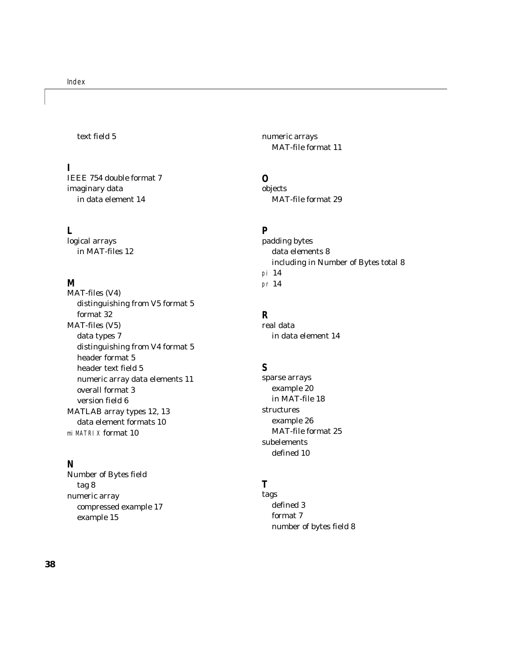#### [text field 5](#page-6-2)

#### **I**

[IEEE 754 double format 7](#page-8-2) imaginary data [in data element 14](#page-15-3)

#### **L**

logical arrays [in MAT-files 12](#page-13-3)

#### **M**

MAT-files (V4) [distinguishing from V5 format 5](#page-6-3) [format 32](#page-33-1) MAT-files (V5) [data types 7](#page-8-1) [distinguishing from V4 format 5](#page-6-3) [header format 5](#page-6-1) [header text field 5](#page-6-2) [numeric array data elements 11](#page-12-3) [overall format 3](#page-4-2) [version field 6](#page-7-5) [MATLAB array types 12,](#page-13-4) [13](#page-14-2) [data element formats 10](#page-11-2) miMATRIX [format 10](#page-11-2)

#### **N**

Number of Bytes field [tag 8](#page-9-1) numeric array [compressed example 17](#page-18-2) [example 15](#page-16-3)

numeric arrays [MAT-file format 11](#page-12-3)

#### **O**

objects [MAT-file format 29](#page-30-3)

#### **P**

padding bytes [data elements 8](#page-9-0) [including in Number of Bytes total 8](#page-9-2) pi [14](#page-15-3) pr [14](#page-15-4)

#### **R**

real data [in data element 14](#page-15-4)

#### **S**

sparse arrays [example 20](#page-21-0) [in MAT-file 18](#page-19-3) structures [example 26](#page-27-6) [MAT-file format 25](#page-26-3) subelements [defined 10](#page-11-3)

#### **T**

tags [defined 3](#page-4-1) [format 7](#page-8-3) [number of bytes field 8](#page-9-1)